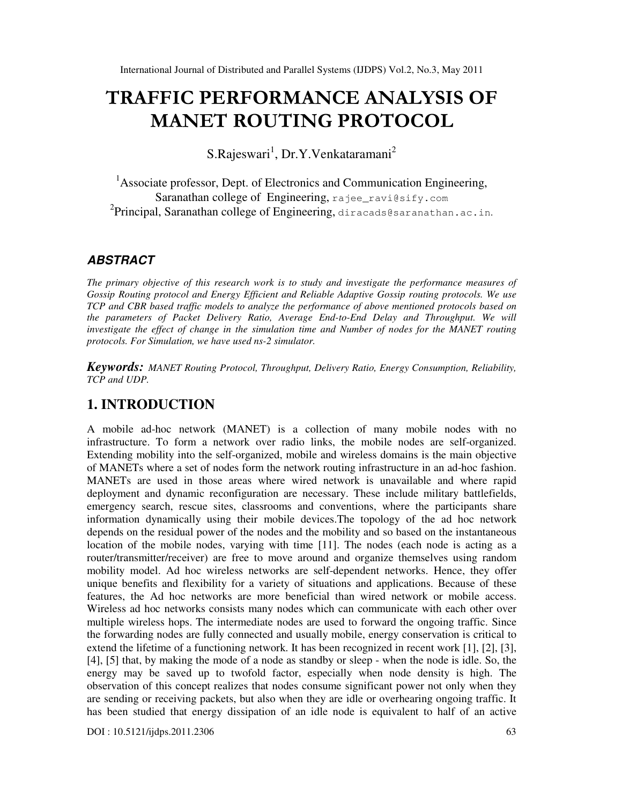# TRAFFIC PERFORMANCE ANALYSIS OF MANET ROUTING PROTOCOL

S.Rajeswari<sup>1</sup>, Dr.Y.Venkataramani<sup>2</sup>

<sup>1</sup>Associate professor, Dept. of Electronics and Communication Engineering, Saranathan college of Engineering, rajee\_ravi@sify.com  $^2$ Principal, Saranathan college of Engineering, diracads@saranathan.ac.in.

#### **ABSTRACT**

*The primary objective of this research work is to study and investigate the performance measures of Gossip Routing protocol and Energy Efficient and Reliable Adaptive Gossip routing protocols. We use TCP and CBR based traffic models to analyze the performance of above mentioned protocols based on the parameters of Packet Delivery Ratio, Average End-to-End Delay and Throughput. We will investigate the effect of change in the simulation time and Number of nodes for the MANET routing protocols. For Simulation, we have used ns-2 simulator.* 

*Keywords: MANET Routing Protocol, Throughput, Delivery Ratio, Energy Consumption, Reliability, TCP and UDP.*

# **1. INTRODUCTION**

A mobile ad-hoc network (MANET) is a collection of many mobile nodes with no infrastructure. To form a network over radio links, the mobile nodes are self-organized. Extending mobility into the self-organized, mobile and wireless domains is the main objective of MANETs where a set of nodes form the network routing infrastructure in an ad-hoc fashion. MANETs are used in those areas where wired network is unavailable and where rapid deployment and dynamic reconfiguration are necessary. These include military battlefields, emergency search, rescue sites, classrooms and conventions, where the participants share information dynamically using their mobile devices.The topology of the ad hoc network depends on the residual power of the nodes and the mobility and so based on the instantaneous location of the mobile nodes, varying with time [11]. The nodes (each node is acting as a router/transmitter/receiver) are free to move around and organize themselves using random mobility model. Ad hoc wireless networks are self-dependent networks. Hence, they offer unique benefits and flexibility for a variety of situations and applications. Because of these features, the Ad hoc networks are more beneficial than wired network or mobile access. Wireless ad hoc networks consists many nodes which can communicate with each other over multiple wireless hops. The intermediate nodes are used to forward the ongoing traffic. Since the forwarding nodes are fully connected and usually mobile, energy conservation is critical to extend the lifetime of a functioning network. It has been recognized in recent work [1], [2], [3], [4], [5] that, by making the mode of a node as standby or sleep - when the node is idle. So, the energy may be saved up to twofold factor, especially when node density is high. The observation of this concept realizes that nodes consume significant power not only when they are sending or receiving packets, but also when they are idle or overhearing ongoing traffic. It has been studied that energy dissipation of an idle node is equivalent to half of an active

DOI : 10.5121/ijdps.2011.2306 63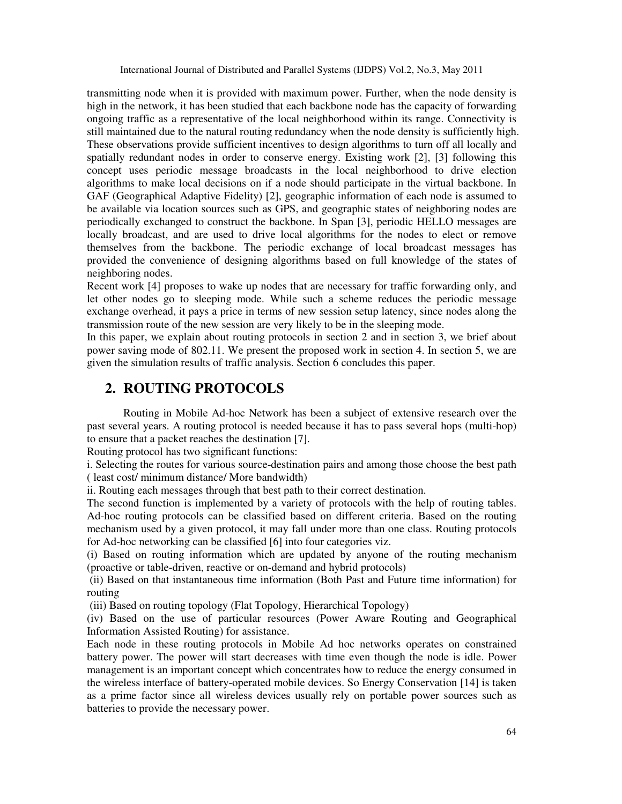transmitting node when it is provided with maximum power. Further, when the node density is high in the network, it has been studied that each backbone node has the capacity of forwarding ongoing traffic as a representative of the local neighborhood within its range. Connectivity is still maintained due to the natural routing redundancy when the node density is sufficiently high. These observations provide sufficient incentives to design algorithms to turn off all locally and spatially redundant nodes in order to conserve energy. Existing work [2], [3] following this concept uses periodic message broadcasts in the local neighborhood to drive election algorithms to make local decisions on if a node should participate in the virtual backbone. In GAF (Geographical Adaptive Fidelity) [2], geographic information of each node is assumed to be available via location sources such as GPS, and geographic states of neighboring nodes are periodically exchanged to construct the backbone. In Span [3], periodic HELLO messages are locally broadcast, and are used to drive local algorithms for the nodes to elect or remove themselves from the backbone. The periodic exchange of local broadcast messages has provided the convenience of designing algorithms based on full knowledge of the states of neighboring nodes.

Recent work [4] proposes to wake up nodes that are necessary for traffic forwarding only, and let other nodes go to sleeping mode. While such a scheme reduces the periodic message exchange overhead, it pays a price in terms of new session setup latency, since nodes along the transmission route of the new session are very likely to be in the sleeping mode.

In this paper, we explain about routing protocols in section 2 and in section 3, we brief about power saving mode of 802.11. We present the proposed work in section 4. In section 5, we are given the simulation results of traffic analysis. Section 6 concludes this paper.

# **2. ROUTING PROTOCOLS**

Routing in Mobile Ad-hoc Network has been a subject of extensive research over the past several years. A routing protocol is needed because it has to pass several hops (multi-hop) to ensure that a packet reaches the destination [7].

Routing protocol has two significant functions:

i. Selecting the routes for various source-destination pairs and among those choose the best path ( least cost/ minimum distance/ More bandwidth)

ii. Routing each messages through that best path to their correct destination.

The second function is implemented by a variety of protocols with the help of routing tables. Ad-hoc routing protocols can be classified based on different criteria. Based on the routing mechanism used by a given protocol, it may fall under more than one class. Routing protocols for Ad-hoc networking can be classified [6] into four categories viz.

(i) Based on routing information which are updated by anyone of the routing mechanism (proactive or table-driven, reactive or on-demand and hybrid protocols)

 (ii) Based on that instantaneous time information (Both Past and Future time information) for routing

(iii) Based on routing topology (Flat Topology, Hierarchical Topology)

(iv) Based on the use of particular resources (Power Aware Routing and Geographical Information Assisted Routing) for assistance.

Each node in these routing protocols in Mobile Ad hoc networks operates on constrained battery power. The power will start decreases with time even though the node is idle. Power management is an important concept which concentrates how to reduce the energy consumed in the wireless interface of battery-operated mobile devices. So Energy Conservation [14] is taken as a prime factor since all wireless devices usually rely on portable power sources such as batteries to provide the necessary power.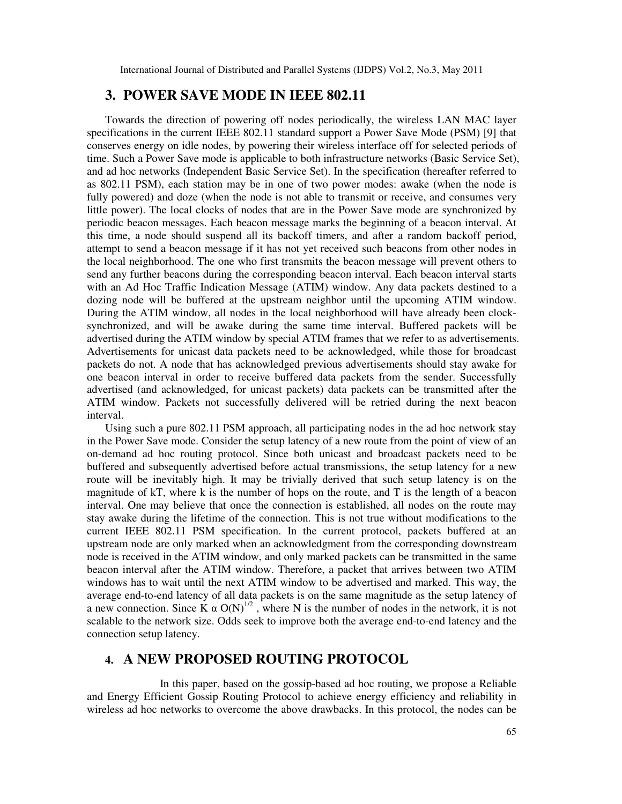## **3. POWER SAVE MODE IN IEEE 802.11**

Towards the direction of powering off nodes periodically, the wireless LAN MAC layer specifications in the current IEEE 802.11 standard support a Power Save Mode (PSM) [9] that conserves energy on idle nodes, by powering their wireless interface off for selected periods of time. Such a Power Save mode is applicable to both infrastructure networks (Basic Service Set), and ad hoc networks (Independent Basic Service Set). In the specification (hereafter referred to as 802.11 PSM), each station may be in one of two power modes: awake (when the node is fully powered) and doze (when the node is not able to transmit or receive, and consumes very little power). The local clocks of nodes that are in the Power Save mode are synchronized by periodic beacon messages. Each beacon message marks the beginning of a beacon interval. At this time, a node should suspend all its backoff timers, and after a random backoff period, attempt to send a beacon message if it has not yet received such beacons from other nodes in the local neighborhood. The one who first transmits the beacon message will prevent others to send any further beacons during the corresponding beacon interval. Each beacon interval starts with an Ad Hoc Traffic Indication Message (ATIM) window. Any data packets destined to a dozing node will be buffered at the upstream neighbor until the upcoming ATIM window. During the ATIM window, all nodes in the local neighborhood will have already been clocksynchronized, and will be awake during the same time interval. Buffered packets will be advertised during the ATIM window by special ATIM frames that we refer to as advertisements. Advertisements for unicast data packets need to be acknowledged, while those for broadcast packets do not. A node that has acknowledged previous advertisements should stay awake for one beacon interval in order to receive buffered data packets from the sender. Successfully advertised (and acknowledged, for unicast packets) data packets can be transmitted after the ATIM window. Packets not successfully delivered will be retried during the next beacon interval.

Using such a pure 802.11 PSM approach, all participating nodes in the ad hoc network stay in the Power Save mode. Consider the setup latency of a new route from the point of view of an on-demand ad hoc routing protocol. Since both unicast and broadcast packets need to be buffered and subsequently advertised before actual transmissions, the setup latency for a new route will be inevitably high. It may be trivially derived that such setup latency is on the magnitude of kT, where k is the number of hops on the route, and T is the length of a beacon interval. One may believe that once the connection is established, all nodes on the route may stay awake during the lifetime of the connection. This is not true without modifications to the current IEEE 802.11 PSM specification. In the current protocol, packets buffered at an upstream node are only marked when an acknowledgment from the corresponding downstream node is received in the ATIM window, and only marked packets can be transmitted in the same beacon interval after the ATIM window. Therefore, a packet that arrives between two ATIM windows has to wait until the next ATIM window to be advertised and marked. This way, the average end-to-end latency of all data packets is on the same magnitude as the setup latency of a new connection. Since K  $\alpha$  O(N)<sup>1/2</sup>, where N is the number of nodes in the network, it is not scalable to the network size. Odds seek to improve both the average end-to-end latency and the connection setup latency.

# **4. A NEW PROPOSED ROUTING PROTOCOL**

 In this paper, based on the gossip-based ad hoc routing, we propose a Reliable and Energy Efficient Gossip Routing Protocol to achieve energy efficiency and reliability in wireless ad hoc networks to overcome the above drawbacks. In this protocol, the nodes can be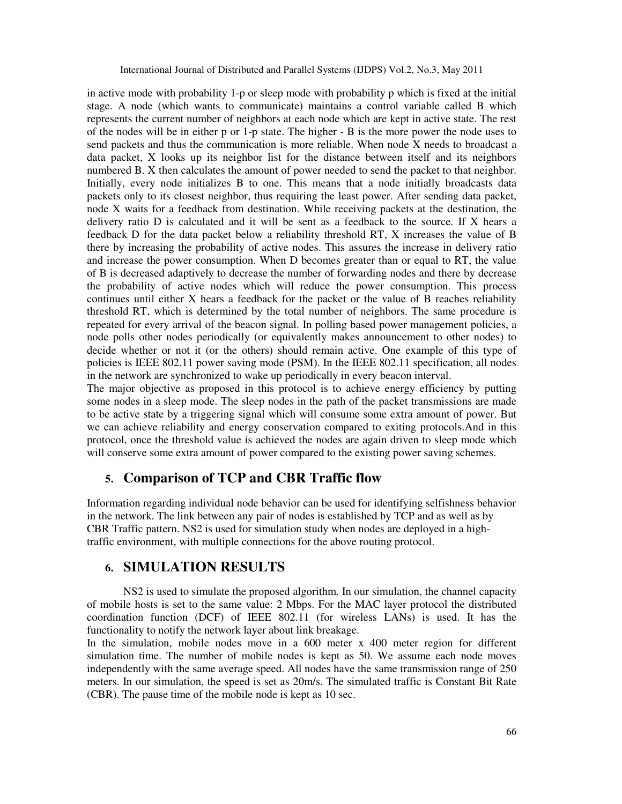in active mode with probability 1-p or sleep mode with probability p which is fixed at the initial stage. A node (which wants to communicate) maintains a control variable called B which represents the current number of neighbors at each node which are kept in active state. The rest of the nodes will be in either p or 1-p state. The higher - B is the more power the node uses to send packets and thus the communication is more reliable. When node X needs to broadcast a data packet, X looks up its neighbor list for the distance between itself and its neighbors numbered B. X then calculates the amount of power needed to send the packet to that neighbor. Initially, every node initializes B to one. This means that a node initially broadcasts data packets only to its closest neighbor, thus requiring the least power. After sending data packet, node X waits for a feedback from destination. While receiving packets at the destination, the delivery ratio D is calculated and it will be sent as a feedback to the source. If X hears a feedback D for the data packet below a reliability threshold RT, X increases the value of B there by increasing the probability of active nodes. This assures the increase in delivery ratio and increase the power consumption. When D becomes greater than or equal to RT, the value of B is decreased adaptively to decrease the number of forwarding nodes and there by decrease the probability of active nodes which will reduce the power consumption. This process continues until either X hears a feedback for the packet or the value of B reaches reliability threshold RT, which is determined by the total number of neighbors. The same procedure is repeated for every arrival of the beacon signal. In polling based power management policies, a node polls other nodes periodically (or equivalently makes announcement to other nodes) to decide whether or not it (or the others) should remain active. One example of this type of policies is IEEE 802.11 power saving mode (PSM). In the IEEE 802.11 specification, all nodes in the network are synchronized to wake up periodically in every beacon interval.

The major objective as proposed in this protocol is to achieve energy efficiency by putting some nodes in a sleep mode. The sleep nodes in the path of the packet transmissions are made to be active state by a triggering signal which will consume some extra amount of power. But we can achieve reliability and energy conservation compared to exiting protocols.And in this protocol, once the threshold value is achieved the nodes are again driven to sleep mode which will conserve some extra amount of power compared to the existing power saving schemes.

## **5. Comparison of TCP and CBR Traffic flow**

Information regarding individual node behavior can be used for identifying selfishness behavior in the network. The link between any pair of nodes is established by TCP and as well as by CBR Traffic pattern. NS2 is used for simulation study when nodes are deployed in a hightraffic environment, with multiple connections for the above routing protocol.

## **6. SIMULATION RESULTS**

 NS2 is used to simulate the proposed algorithm. In our simulation, the channel capacity of mobile hosts is set to the same value: 2 Mbps. For the MAC layer protocol the distributed coordination function (DCF) of IEEE 802.11 (for wireless LANs) is used. It has the functionality to notify the network layer about link breakage.

In the simulation, mobile nodes move in a 600 meter x 400 meter region for different simulation time. The number of mobile nodes is kept as 50. We assume each node moves independently with the same average speed. All nodes have the same transmission range of 250 meters. In our simulation, the speed is set as 20m/s. The simulated traffic is Constant Bit Rate (CBR). The pause time of the mobile node is kept as 10 sec.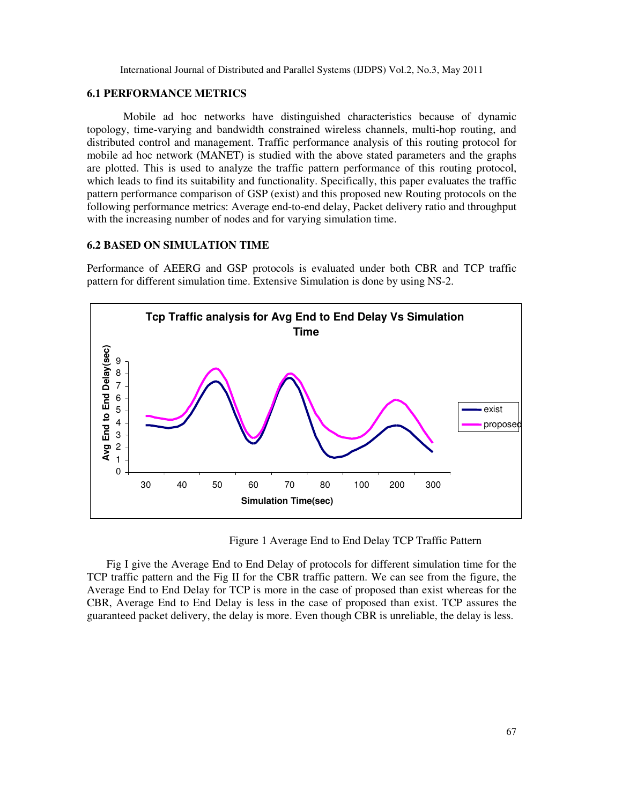#### **6.1 PERFORMANCE METRICS**

Mobile ad hoc networks have distinguished characteristics because of dynamic topology, time-varying and bandwidth constrained wireless channels, multi-hop routing, and distributed control and management. Traffic performance analysis of this routing protocol for mobile ad hoc network (MANET) is studied with the above stated parameters and the graphs are plotted. This is used to analyze the traffic pattern performance of this routing protocol, which leads to find its suitability and functionality. Specifically, this paper evaluates the traffic pattern performance comparison of GSP (exist) and this proposed new Routing protocols on the following performance metrics: Average end-to-end delay, Packet delivery ratio and throughput with the increasing number of nodes and for varying simulation time.

#### **6.2 BASED ON SIMULATION TIME**

Performance of AEERG and GSP protocols is evaluated under both CBR and TCP traffic pattern for different simulation time. Extensive Simulation is done by using NS-2.



Figure 1 Average End to End Delay TCP Traffic Pattern

 Fig I give the Average End to End Delay of protocols for different simulation time for the TCP traffic pattern and the Fig II for the CBR traffic pattern. We can see from the figure, the Average End to End Delay for TCP is more in the case of proposed than exist whereas for the CBR, Average End to End Delay is less in the case of proposed than exist. TCP assures the guaranteed packet delivery, the delay is more. Even though CBR is unreliable, the delay is less.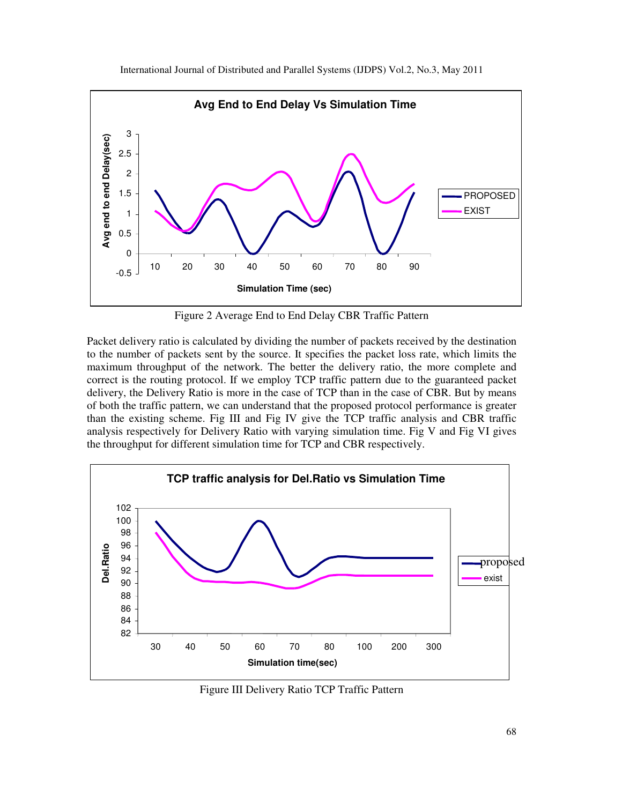

International Journal of Distributed and Parallel Systems (IJDPS) Vol.2, No.3, May 2011

Figure 2 Average End to End Delay CBR Traffic Pattern

Packet delivery ratio is calculated by dividing the number of packets received by the destination to the number of packets sent by the source. It specifies the packet loss rate, which limits the maximum throughput of the network. The better the delivery ratio, the more complete and correct is the routing protocol. If we employ TCP traffic pattern due to the guaranteed packet delivery, the Delivery Ratio is more in the case of TCP than in the case of CBR. But by means of both the traffic pattern, we can understand that the proposed protocol performance is greater than the existing scheme. Fig III and Fig IV give the TCP traffic analysis and CBR traffic analysis respectively for Delivery Ratio with varying simulation time. Fig V and Fig VI gives the throughput for different simulation time for TCP and CBR respectively.



Figure III Delivery Ratio TCP Traffic Pattern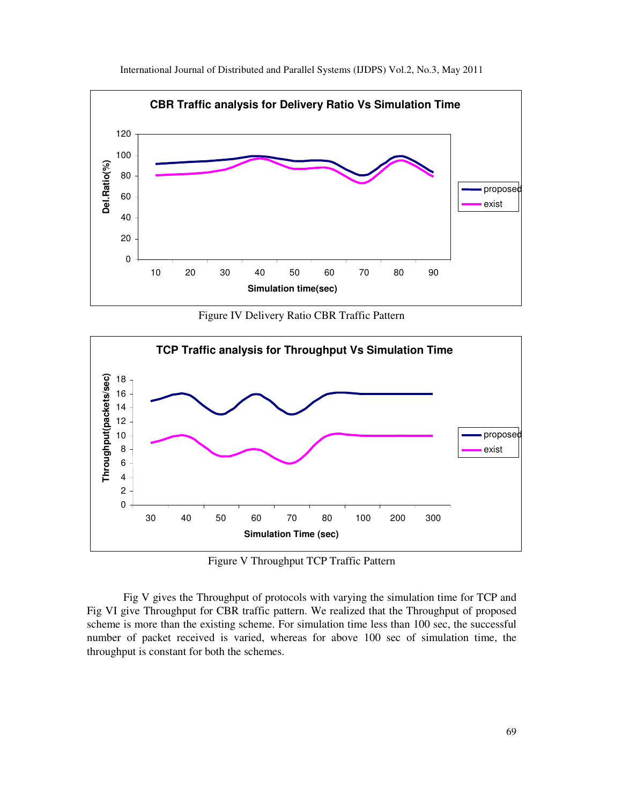

International Journal of Distributed and Parallel Systems (IJDPS) Vol.2, No.3, May 2011

Figure IV Delivery Ratio CBR Traffic Pattern



Figure V Throughput TCP Traffic Pattern

Fig V gives the Throughput of protocols with varying the simulation time for TCP and Fig VI give Throughput for CBR traffic pattern. We realized that the Throughput of proposed scheme is more than the existing scheme. For simulation time less than 100 sec, the successful number of packet received is varied, whereas for above 100 sec of simulation time, the throughput is constant for both the schemes.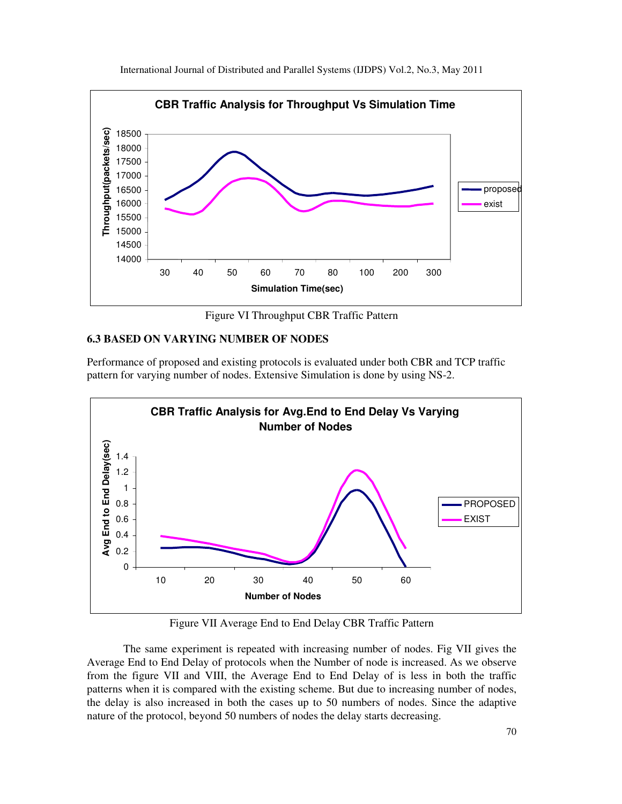

Figure VI Throughput CBR Traffic Pattern

### **6.3 BASED ON VARYING NUMBER OF NODES**

Performance of proposed and existing protocols is evaluated under both CBR and TCP traffic pattern for varying number of nodes. Extensive Simulation is done by using NS-2.



Figure VII Average End to End Delay CBR Traffic Pattern

The same experiment is repeated with increasing number of nodes. Fig VII gives the Average End to End Delay of protocols when the Number of node is increased. As we observe from the figure VII and VIII, the Average End to End Delay of is less in both the traffic patterns when it is compared with the existing scheme. But due to increasing number of nodes, the delay is also increased in both the cases up to 50 numbers of nodes. Since the adaptive nature of the protocol, beyond 50 numbers of nodes the delay starts decreasing.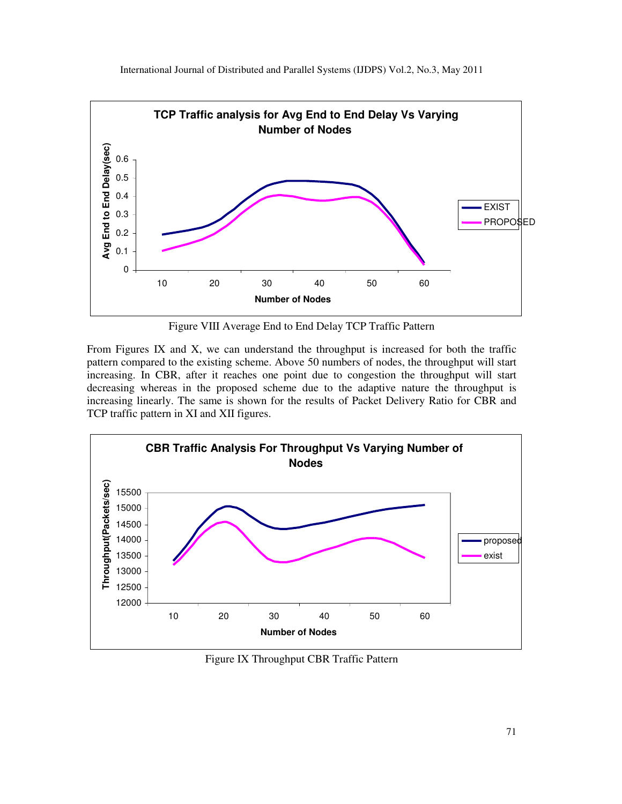



Figure VIII Average End to End Delay TCP Traffic Pattern

From Figures IX and X, we can understand the throughput is increased for both the traffic pattern compared to the existing scheme. Above 50 numbers of nodes, the throughput will start increasing. In CBR, after it reaches one point due to congestion the throughput will start decreasing whereas in the proposed scheme due to the adaptive nature the throughput is increasing linearly. The same is shown for the results of Packet Delivery Ratio for CBR and TCP traffic pattern in XI and XII figures.



Figure IX Throughput CBR Traffic Pattern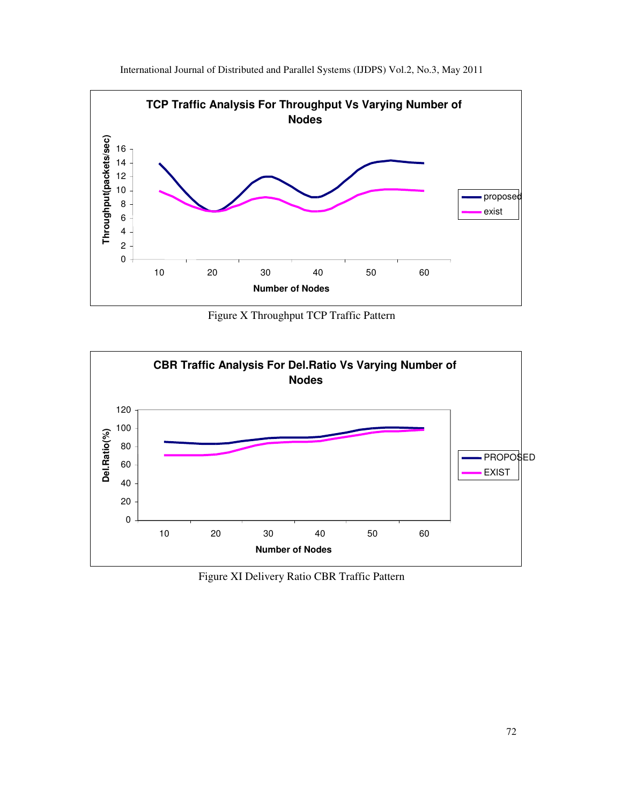

International Journal of Distributed and Parallel Systems (IJDPS) Vol.2, No.3, May 2011

Figure X Throughput TCP Traffic Pattern



Figure XI Delivery Ratio CBR Traffic Pattern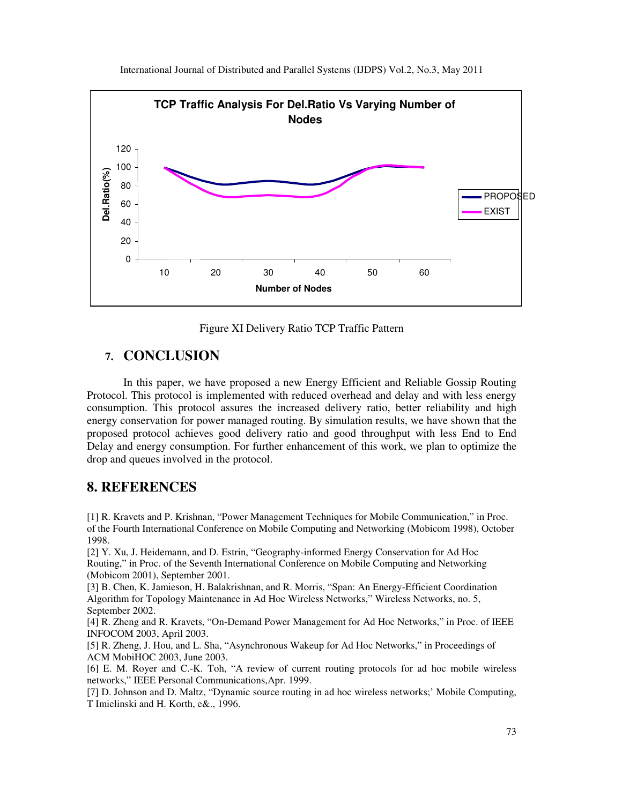

Figure XI Delivery Ratio TCP Traffic Pattern

## **7. CONCLUSION**

In this paper, we have proposed a new Energy Efficient and Reliable Gossip Routing Protocol. This protocol is implemented with reduced overhead and delay and with less energy consumption. This protocol assures the increased delivery ratio, better reliability and high energy conservation for power managed routing. By simulation results, we have shown that the proposed protocol achieves good delivery ratio and good throughput with less End to End Delay and energy consumption. For further enhancement of this work, we plan to optimize the drop and queues involved in the protocol.

## **8. REFERENCES**

[1] R. Kravets and P. Krishnan, "Power Management Techniques for Mobile Communication," in Proc. of the Fourth International Conference on Mobile Computing and Networking (Mobicom 1998), October 1998.

[2] Y. Xu, J. Heidemann, and D. Estrin, "Geography-informed Energy Conservation for Ad Hoc Routing," in Proc. of the Seventh International Conference on Mobile Computing and Networking (Mobicom 2001), September 2001.

[3] B. Chen, K. Jamieson, H. Balakrishnan, and R. Morris, "Span: An Energy-Efficient Coordination Algorithm for Topology Maintenance in Ad Hoc Wireless Networks," Wireless Networks, no. 5, September 2002.

[4] R. Zheng and R. Kravets, "On-Demand Power Management for Ad Hoc Networks," in Proc. of IEEE INFOCOM 2003, April 2003.

[5] R. Zheng, J. Hou, and L. Sha, "Asynchronous Wakeup for Ad Hoc Networks," in Proceedings of ACM MobiHOC 2003, June 2003.

[6] E. M. Royer and C.-K. Toh, "A review of current routing protocols for ad hoc mobile wireless networks," IEEE Personal Communications,Apr. 1999.

[7] D. Johnson and D. Maltz, "Dynamic source routing in ad hoc wireless networks;' Mobile Computing, T Imielinski and H. Korth, e&., 1996.